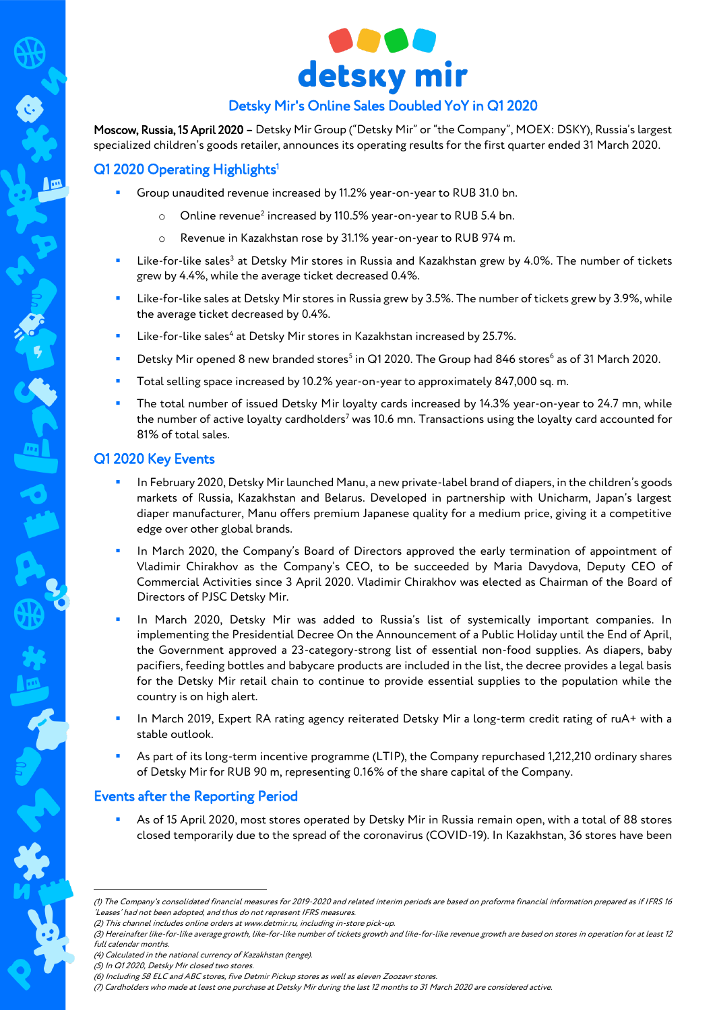

# Detsky Mir's Online Sales Doubled YoY in Q1 2020

Moscow, Russia, 15 April 2020 – Detsky Mir Group ("Detsky Mir" or "the Company", MOEX: DSKY), Russia's largest specialized children's goods retailer, announces its operating results for the first quarter ended 31 March 2020.

## Q1 2020 Operating Highlights<sup>1</sup>

- Group unaudited revenue increased by 11.2% year-on-year to RUB 31.0 bn.
	- $\circ$  Online revenue<sup>2</sup> increased by 110.5% year-on-year to RUB 5.4 bn.
	- o Revenue in Kazakhstan rose by 31.1% year-on-year to RUB 974 m.
- **EXECTS:** Like-for-like sales<sup>3</sup> at Detsky Mir stores in Russia and Kazakhstan grew by 4.0%. The number of tickets grew by 4.4%, while the average ticket decreased 0.4%.
- Like-for-like sales at Detsky Mir stores in Russia grew by 3.5%. The number of tickets grew by 3.9%, while the average ticket decreased by 0.4%.
- **EXECT:** Like-for-like sales<sup>4</sup> at Detsky Mir stores in Kazakhstan increased by 25.7%.
- Detsky Mir opened 8 new branded stores<sup>5</sup> in Q1 2020. The Group had 846 stores<sup>6</sup> as of 31 March 2020.
- Total selling space increased by 10.2% year-on-year to approximately 847,000 sq. m.
- The total number of issued Detsky Mir loyalty cards increased by 14.3% year-on-year to 24.7 mn, while the number of active loyalty cardholders<sup>7</sup> was 10.6 mn. Transactions using the loyalty card accounted for 81% of total sales.

## Q1 2020 Key Events

- In February 2020, Detsky Mir launched Manu, a new private-label brand of diapers, in the children's goods markets of Russia, Kazakhstan and Belarus. Developed in partnership with Unicharm, Japan's largest diaper manufacturer, Manu offers premium Japanese quality for a medium price, giving it a competitive edge over other global brands.
- In March 2020, the Company's Board of Directors approved the early termination of appointment of Vladimir Chirakhov as the Company's CEO, to be succeeded by Maria Davydova, Deputy CEO of Commercial Activities since 3 April 2020. Vladimir Chirakhov was elected as Chairman of the Board of Directors of PJSC Detsky Mir.
- In March 2020, Detsky Mir was added to Russia's list of systemically important companies. In implementing the Presidential Decree On the Announcement of a Public Holiday until the End of April, the Government approved a 23-category-strong list of essential non-food supplies. As diapers, baby pacifiers, feeding bottles and babycare products are included in the list, the decree provides a legal basis for the Detsky Mir retail chain to continue to provide essential supplies to the population while the country is on high alert.
- In March 2019, Expert RA rating agency reiterated Detsky Mir a long-term credit rating of ruA+ with a stable outlook.
- As part of its long-term incentive programme (LTIP), the Company repurchased 1,212,210 ordinary shares of Detsky Mir for RUB 90 m, representing 0.16% of the share capital of the Company.

# Events after the Reporting Period

 As of 15 April 2020, most stores operated by Detsky Mir in Russia remain open, with a total of 88 stores closed temporarily due to the spread of the coronavirus (COVID-19). In Kazakhstan, 36 stores have been

1

<sup>(1)</sup> The Company's consolidated financial measures for 2019-2020 and related interim periods are based on proforma financial information prepared as if IFRS 16 'Leases' had not been adopted, and thus do not represent IFRS measures.

<sup>(2)</sup> This channel includes online orders a[t www.detmir.ru,](http://www.detmir.ru/) including in-store pick-up.

<sup>(3)</sup> Hereinafter like-for-like average growth, like-for-like number of tickets growth and like-for-like revenue growth are based on stores in operation for at least 12 full calendar months.

<sup>(4)</sup> Calculated in the national currency of Kazakhstan (tenge).

<sup>(5)</sup> In Q1 2020, Detsky Mir closed two stores.

<sup>(6)</sup> Including 58 ELC and ABC stores, five Detmir Pickup stores as well as eleven Zoozavr stores.

<sup>(7)</sup> Cardholders who made at least one purchase at Detsky Mir during the last 12 months to 31 March 2020 are considered active.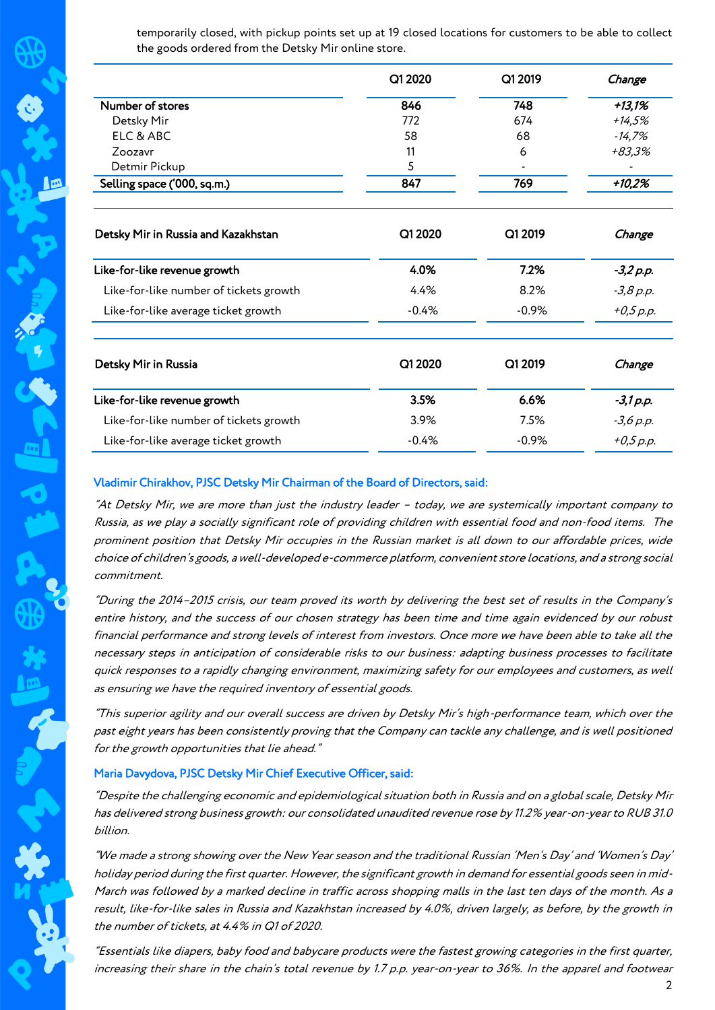temporarily closed, with pickup points set up at 19 closed locations for customers to be able to collect the goods ordered from the Detsky Mir online store.

| Q1 2020 | Q1 2019                  | Change   |
|---------|--------------------------|----------|
| 846     | 748                      | $+13,1%$ |
| 772     | 674                      | $+14,5%$ |
| 58      | 68                       | $-14,7%$ |
| 11      | 6                        | +83.3%   |
| 5       | $\overline{\phantom{0}}$ |          |
| 847     | 769                      | $+10,2%$ |
|         |                          |          |

| Q1 2020 | Q1 2019  | Change    |
|---------|----------|-----------|
| 4.0%    | 7.2%     | -3,2 p.p. |
| 4.4%    | 8.2%     | -3,8 p.p. |
| $-0.4%$ | $-0.9\%$ | +0,5 p.p. |
|         |          |           |

| Detsky Mir in Russia                   | Q1 2020 | Q1 2019  | Change      |
|----------------------------------------|---------|----------|-------------|
| Like-for-like revenue growth           | 3.5%    | 6.6%     | -3,1 p.p.   |
| Like-for-like number of tickets growth | 3.9%    | 7.5%     | $-3,6 p.p.$ |
| Like-for-like average ticket growth    | $-0.4%$ | $-0.9\%$ | $+0,5$ p.p. |

#### Vladimir Chirakhov, PJSC Detsky Mir Chairman of the Board of Directors, said:

"At Detsky Mir, we are more than just the industry leader – today, we are systemically important company to Russia, as we play a socially significant role of providing children with essential food and non-food items. The prominent position that Detsky Mir occupies in the Russian market is all down to our affordable prices, wide choice of children's goods, a well-developed e-commerce platform, convenient store locations, and a strong social commitment.

"During the 2014–2015 crisis, our team proved its worth by delivering the best set of results in the Company's entire history, and the success of our chosen strategy has been time and time again evidenced by our robust financial performance and strong levels of interest from investors. Once more we have been able to take all the necessary steps in anticipation of considerable risks to our business: adapting business processes to facilitate quick responses to a rapidly changing environment, maximizing safety for our employees and customers, as well as ensuring we have the required inventory of essential goods.

"This superior agility and our overall success are driven by Detsky Mir's high-performance team, which over the past eight years has been consistently proving that the Company can tackle any challenge, and is well positioned for the growth opportunities that lie ahead."

#### Maria Davydova, PJSC Detsky Mir Chief Executive Officer, said:

"Despite the challenging economic and epidemiological situation both in Russia and on a global scale, Detsky Mir has delivered strong business growth: our consolidated unaudited revenue rose by 11.2% year-on-year to RUB 31.0 billion.

"We made a strong showing over the New Year season and the traditional Russian 'Men's Day' and 'Women's Day' holiday period during the first quarter. However, the significant growth in demand for essential goods seen in mid-March was followed by a marked decline in traffic across shopping malls in the last ten days of the month. As a result, like-for-like sales in Russia and Kazakhstan increased by 4.0%, driven largely, as before, by the growth in the number of tickets, at 4.4% in Q1 of 2020.

"Essentials like diapers, baby food and babycare products were the fastest growing categories in the first quarter, increasing their share in the chain's total revenue by 1.7 p.p. year-on-year to 36%. In the apparel and footwear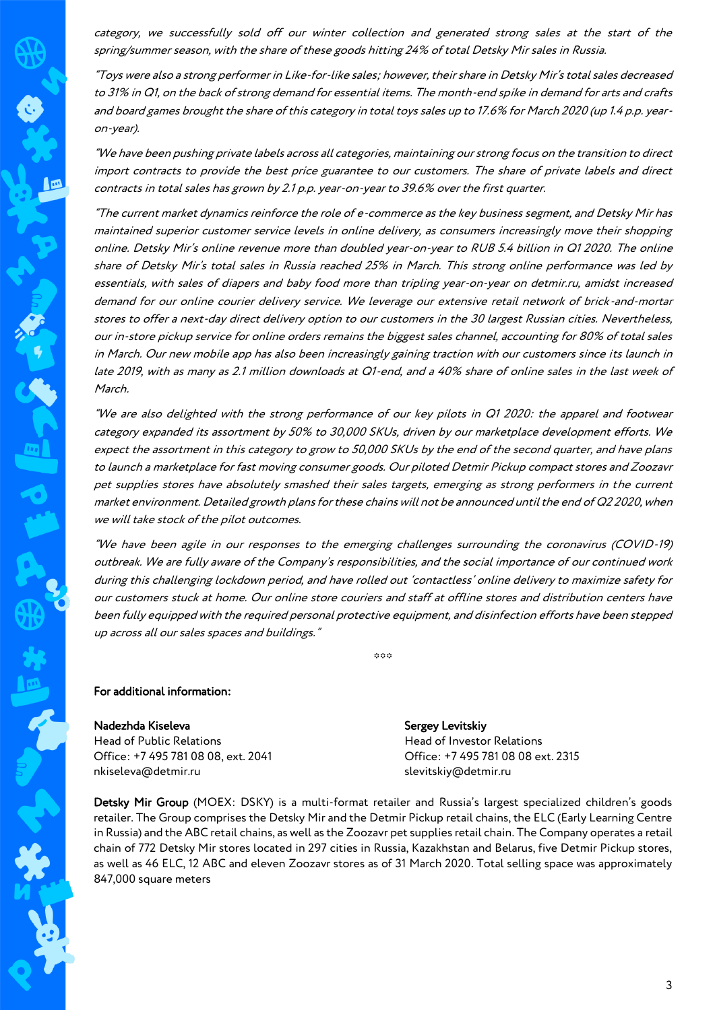category, we successfully sold off our winter collection and generated strong sales at the start of the spring/summer season, with the share of these goods hitting 24% of total Detsky Mir sales in Russia.

"Toys were also a strong performer in Like-for-like sales; however, their share in Detsky Mir's total sales decreased to 31% in Q1, on the back of strong demand for essential items. The month-end spike in demand for arts and crafts and board games brought the share of this category in total toys sales up to 17.6% for March 2020 (up 1.4 p.p. yearon-year).

"We have been pushing private labels across all categories, maintaining our strong focus on the transition to direct import contracts to provide the best price guarantee to our customers. The share of private labels and direct contracts in total sales has grown by 2.1 p.p. year-on-year to 39.6% over the first quarter.

"The current market dynamics reinforce the role of e-commerce as the key business segment, and Detsky Mir has maintained superior customer service levels in online delivery, as consumers increasingly move their shopping online. Detsky Mir's online revenue more than doubled year-on-year to RUB 5.4 billion in Q1 2020. The online share of Detsky Mir's total sales in Russia reached 25% in March. This strong online performance was led by essentials, with sales of diapers and baby food more than tripling year-on-year on detmir.ru, amidst increased demand for our online courier delivery service. We leverage our extensive retail network of brick-and-mortar stores to offer a next-day direct delivery option to our customers in the 30 largest Russian cities. Nevertheless, our in-store pickup service for online orders remains the biggest sales channel, accounting for 80% of total sales in March. Our new mobile app has also been increasingly gaining traction with our customers since its launch in late 2019, with as many as 2.1 million downloads at Q1-end, and a 40% share of online sales in the last week of March.

"We are also delighted with the strong performance of our key pilots in Q1 2020: the apparel and footwear category expanded its assortment by 50% to 30,000 SKUs, driven by our marketplace development efforts. We expect the assortment in this category to grow to 50,000 SKUs by the end of the second quarter, and have plans to launch a marketplace for fast moving consumer goods. Our piloted Detmir Pickup compact stores and Zoozavr pet supplies stores have absolutely smashed their sales targets, emerging as strong performers in the current market environment. Detailed growth plans for these chains will not be announced until the end of Q2 2020, when we will take stock of the pilot outcomes.

"We have been agile in our responses to the emerging challenges surrounding the coronavirus (COVID-19) outbreak. We are fully aware of the Company's responsibilities, and the social importance of our continued work during this challenging lockdown period, and have rolled out 'contactless' online delivery to maximize safety for our customers stuck at home. Our online store couriers and staff at offline stores and distribution centers have been fully equipped with the required personal protective equipment, and disinfection efforts have been stepped up across all our sales spaces and buildings."

 $000$ 

### For additional information:

一

Nadezhda Kiseleva Head of Public Relations Office: +7 495 781 08 08, ext. 2041 nkiseleva@detmir.ru

Sergey Levitskiy Head of Investor Relations Office: +7 495 781 08 08 ext. 2315 slevitskiy@detmir.ru

Detsky Mir Group (MOEX: DSKY) is a multi-format retailer and Russia's largest specialized children's goods retailer. The Group comprises the Detsky Mir and the Detmir Pickup retail chains, the ELC (Early Learning Centre in Russia) and the ABC retail chains, as well as the Zoozavr pet supplies retail chain. The Company operates a retail chain of 772 Detsky Mir stores located in 297 cities in Russia, Kazakhstan and Belarus, five Detmir Pickup stores, as well as 46 ELC, 12 ABC and eleven Zoozavr stores as of 31 March 2020. Total selling space was approximately 847,000 square meters